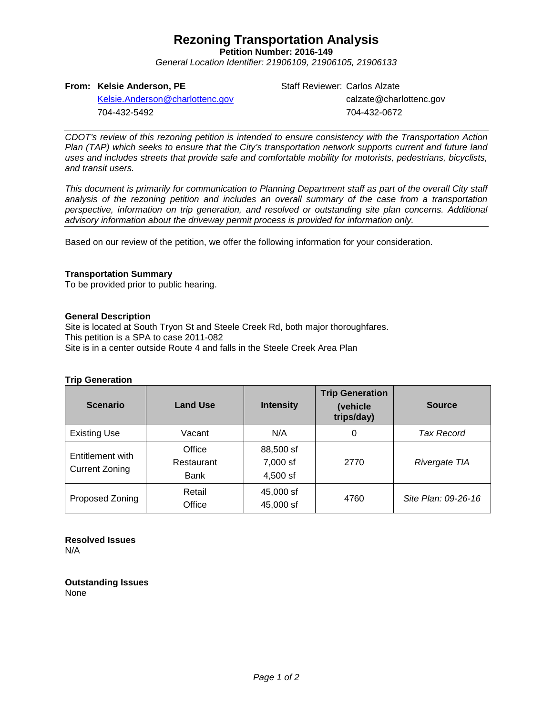## **Rezoning Transportation Analysis**

**Petition Number: 2016-149**

*General Location Identifier: 21906109, 21906105, 21906133*

#### **From: Kelsie Anderson, PE**

Staff Reviewer: Carlos Alzate calzate@charlottenc.gov 704-432-0672

[Kelsie.Anderson@charlottenc.gov](mailto:Kelsie.Anderson@charlottenc.gov) 704-432-5492

*CDOT's review of this rezoning petition is intended to ensure consistency with the Transportation Action Plan (TAP) which seeks to ensure that the City's transportation network supports current and future land uses and includes streets that provide safe and comfortable mobility for motorists, pedestrians, bicyclists, and transit users.*

*This document is primarily for communication to Planning Department staff as part of the overall City staff analysis of the rezoning petition and includes an overall summary of the case from a transportation perspective, information on trip generation, and resolved or outstanding site plan concerns. Additional advisory information about the driveway permit process is provided for information only.*

Based on our review of the petition, we offer the following information for your consideration.

#### **Transportation Summary**

To be provided prior to public hearing.

#### **General Description**

Site is located at South Tryon St and Steele Creek Rd, both major thoroughfares. This petition is a SPA to case 2011-082 Site is in a center outside Route 4 and falls in the Steele Creek Area Plan

#### **Trip Generation**

| <b>Scenario</b>                           | <b>Land Use</b>              | <b>Intensity</b>                  | <b>Trip Generation</b><br>(vehicle<br>trips/day) | <b>Source</b>       |
|-------------------------------------------|------------------------------|-----------------------------------|--------------------------------------------------|---------------------|
| <b>Existing Use</b>                       | Vacant                       | N/A                               | 0                                                | Tax Record          |
| Entitlement with<br><b>Current Zoning</b> | Office<br>Restaurant<br>Bank | 88,500 sf<br>7,000 sf<br>4.500 sf | 2770                                             | Rivergate TIA       |
| Proposed Zoning                           | Retail<br>Office             | 45,000 sf<br>45,000 sf            | 4760                                             | Site Plan: 09-26-16 |

**Resolved Issues** N/A

**Outstanding Issues** None